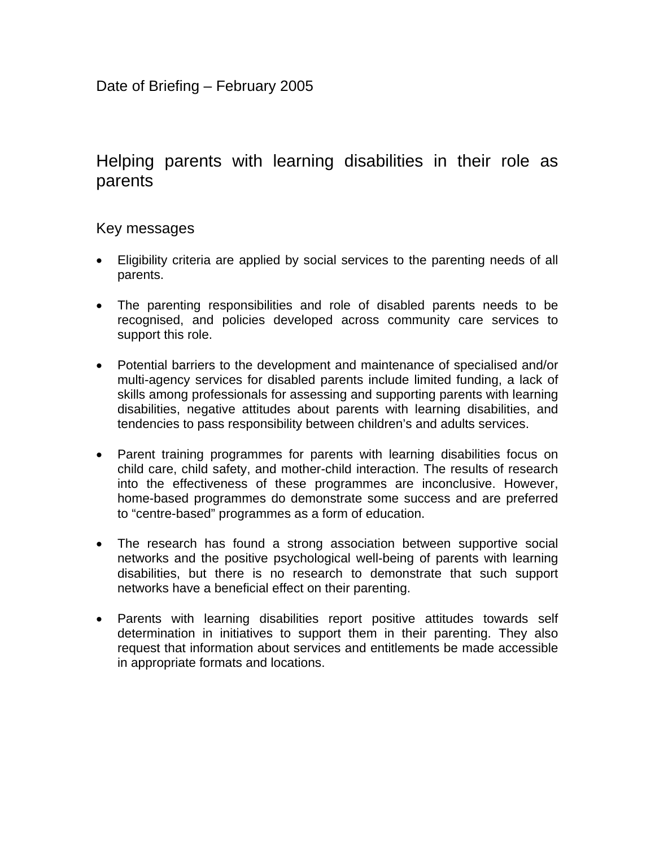# Helping parents with learning disabilities in their role as parents

### Key messages

- Eligibility criteria are applied by social services to the parenting needs of all parents.
- The parenting responsibilities and role of disabled parents needs to be recognised, and policies developed across community care services to support this role.
- Potential barriers to the development and maintenance of specialised and/or multi-agency services for disabled parents include limited funding, a lack of skills among professionals for assessing and supporting parents with learning disabilities, negative attitudes about parents with learning disabilities, and tendencies to pass responsibility between children's and adults services.
- Parent training programmes for parents with learning disabilities focus on child care, child safety, and mother-child interaction. The results of research into the effectiveness of these programmes are inconclusive. However, home-based programmes do demonstrate some success and are preferred to "centre-based" programmes as a form of education.
- The research has found a strong association between supportive social networks and the positive psychological well-being of parents with learning disabilities, but there is no research to demonstrate that such support networks have a beneficial effect on their parenting.
- Parents with learning disabilities report positive attitudes towards self determination in initiatives to support them in their parenting. They also request that information about services and entitlements be made accessible in appropriate formats and locations.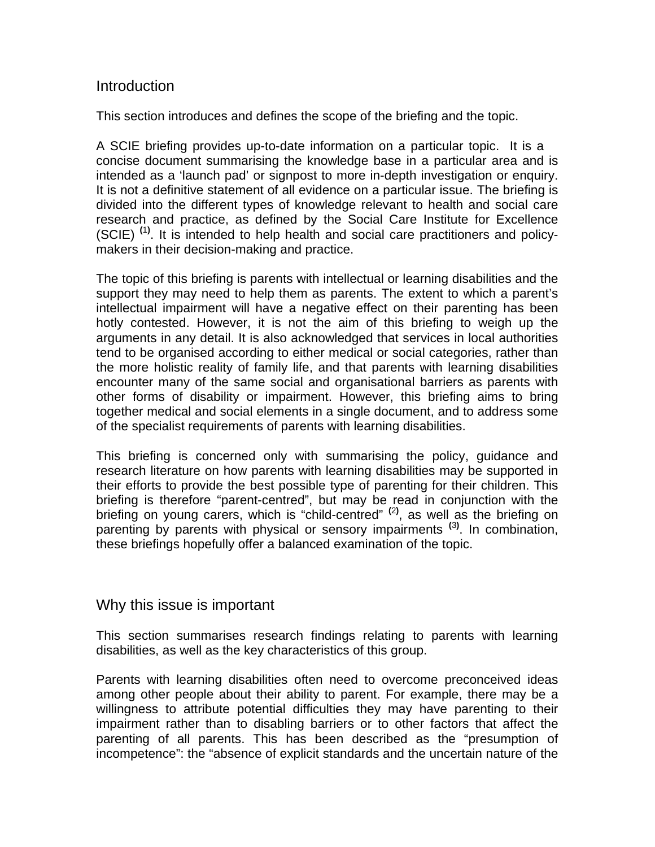### Introduction

This section introduces and defines the scope of the briefing and the topic.

A SCIE briefing provides up-to-date information on a particular topic. It is a concise document summarising the knowledge base in a particular area and is intended as a 'launch pad' or signpost to more in-depth investigation or enquiry. It is not a definitive statement of all evidence on a particular issue. The briefing is divided into the different types of knowledge relevant to health and social care research and practice, as defined by the Social Care Institute for Excellence (SCIE) **(**1**)** . It is intended to help health and social care practitioners and policymakers in their decision-making and practice.

The topic of this briefing is parents with intellectual or learning disabilities and the support they may need to help them as parents. The extent to which a parent's intellectual impairment will have a negative effect on their parenting has been hotly contested. However, it is not the aim of this briefing to weigh up the arguments in any detail. It is also acknowledged that services in local authorities tend to be organised according to either medical or social categories, rather than the more holistic reality of family life, and that parents with learning disabilities encounter many of the same social and organisational barriers as parents with other forms of disability or impairment. However, this briefing aims to bring together medical and social elements in a single document, and to address some of the specialist requirements of parents with learning disabilities.

This briefing is concerned only with summarising the policy, guidance and research literature on how parents with learning disabilities may be supported in their efforts to provide the best possible type of parenting for their children. This briefing is therefore "parent-centred", but may be read in conjunction with the briefing on young carers, which is "child-centred" **(**2**)** , as well as the briefing on parenting by parents with physical or sensory impairments **(**3**)** . In combination, these briefings hopefully offer a balanced examination of the topic.

### Why this issue is important

This section summarises research findings relating to parents with learning disabilities, as well as the key characteristics of this group.

Parents with learning disabilities often need to overcome preconceived ideas among other people about their ability to parent. For example, there may be a willingness to attribute potential difficulties they may have parenting to their impairment rather than to disabling barriers or to other factors that affect the parenting of all parents. This has been described as the "presumption of incompetence": the "absence of explicit standards and the uncertain nature of the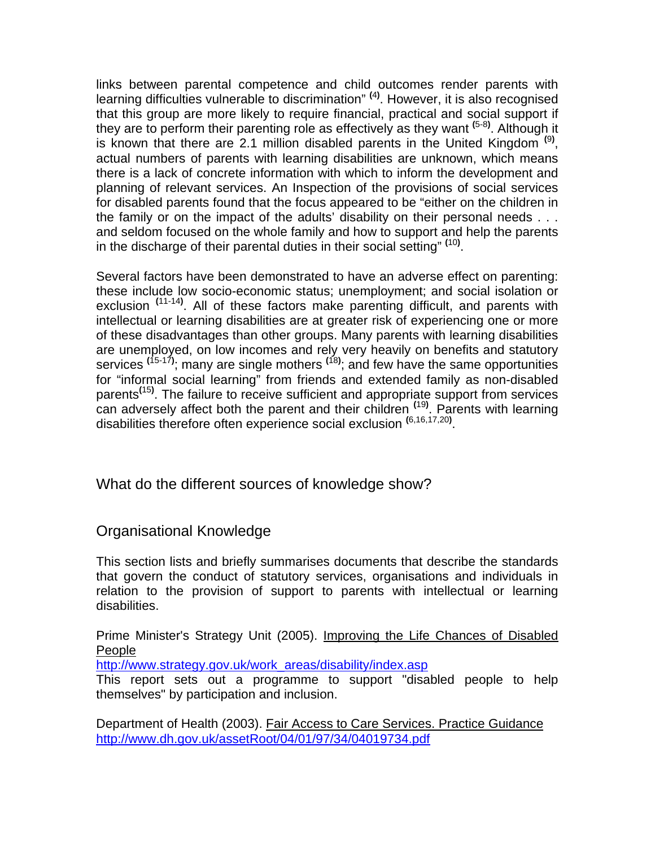links between parental competence and child outcomes render parents with learning difficulties vulnerable to discrimination" **(**4**)** . However, it is also recognised that this group are more likely to require financial, practical and social support if they are to perform their parenting role as effectively as they want **(**5-8**)** . Although it is known that there are 2.1 million disabled parents in the United Kingdom **(**9**)** , actual numbers of parents with learning disabilities are unknown, which means there is a lack of concrete information with which to inform the development and planning of relevant services. An Inspection of the provisions of social services for disabled parents found that the focus appeared to be "either on the children in the family or on the impact of the adults' disability on their personal needs . . . and seldom focused on the whole family and how to support and help the parents in the discharge of their parental duties in their social setting" **(**10**)** .

Several factors have been demonstrated to have an adverse effect on parenting: these include low socio-economic status; unemployment; and social isolation or exclusion **(**11-14**)** . All of these factors make parenting difficult, and parents with intellectual or learning disabilities are at greater risk of experiencing one or more of these disadvantages than other groups. Many parents with learning disabilities are unemployed, on low incomes and rely very heavily on benefits and statutory services **(**15-17**)** ; many are single mothers **(**18**)** ; and few have the same opportunities for "informal social learning" from friends and extended family as non-disabled parents**(**15**)** . The failure to receive sufficient and appropriate support from services can adversely affect both the parent and their children **(**19**)** . Parents with learning disabilities therefore often experience social exclusion **(**6,16,17,20**)** .

# What do the different sources of knowledge show?

### Organisational Knowledge

This section lists and briefly summarises documents that describe the standards that govern the conduct of statutory services, organisations and individuals in relation to the provision of support to parents with intellectual or learning disabilities.

Prime Minister's Strategy Unit (2005). Improving the Life Chances of Disabled People

http://www.strategy.gov.uk/work\_areas/disability/index.asp

This report sets out a programme to support "disabled people to help themselves" by participation and inclusion.

Department of Health (2003). Fair Access to Care Services. Practice Guidance http://www.dh.gov.uk/assetRoot/04/01/97/34/04019734.pdf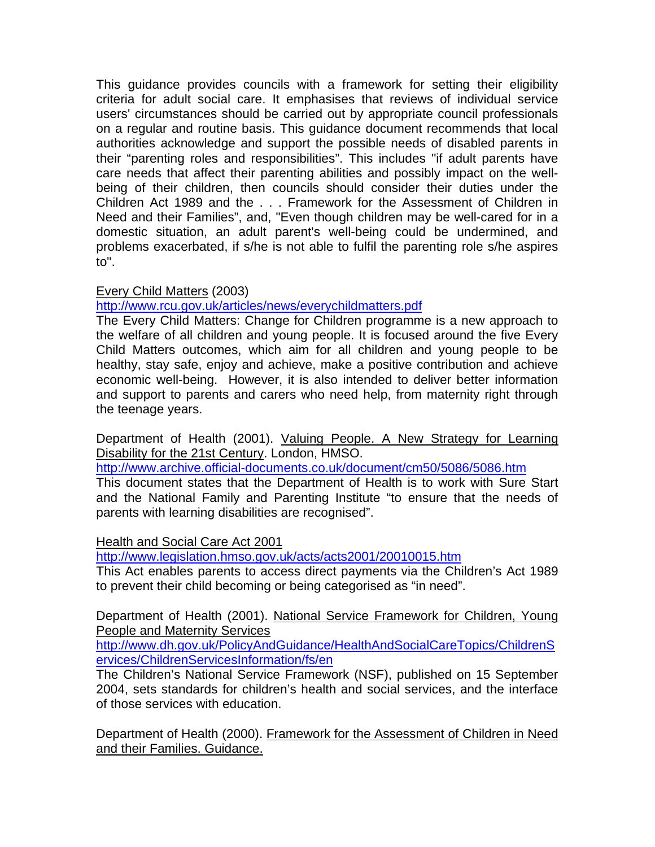This guidance provides councils with a framework for setting their eligibility criteria for adult social care. It emphasises that reviews of individual service users' circumstances should be carried out by appropriate council professionals on a regular and routine basis. This guidance document recommends that local authorities acknowledge and support the possible needs of disabled parents in their "parenting roles and responsibilities". This includes "if adult parents have care needs that affect their parenting abilities and possibly impact on the wellbeing of their children, then councils should consider their duties under the Children Act 1989 and the . . . Framework for the Assessment of Children in Need and their Families", and, "Even though children may be well-cared for in a domestic situation, an adult parent's well-being could be undermined, and problems exacerbated, if s/he is not able to fulfil the parenting role s/he aspires to".

### Every Child Matters (2003)

http://www.rcu.gov.uk/articles/news/everychildmatters.pdf

The Every Child Matters: Change for Children programme is a new approach to the welfare of all children and young people. It is focused around the five Every Child Matters outcomes, which aim for all children and young people to be healthy, stay safe, enjoy and achieve, make a positive contribution and achieve economic well-being. However, it is also intended to deliver better information and support to parents and carers who need help, from maternity right through the teenage years.

Department of Health (2001). Valuing People. A New Strategy for Learning Disability for the 21st Century. London, HMSO.

http://www.archive.official-documents.co.uk/document/cm50/5086/5086.htm

This document states that the Department of Health is to work with Sure Start and the National Family and Parenting Institute "to ensure that the needs of parents with learning disabilities are recognised".

#### Health and Social Care Act 2001

http://www.legislation.hmso.gov.uk/acts/acts2001/20010015.htm

This Act enables parents to access direct payments via the Children's Act 1989 to prevent their child becoming or being categorised as "in need".

Department of Health (2001). National Service Framework for Children, Young People and Maternity Services

http://www.dh.gov.uk/PolicyAndGuidance/HealthAndSocialCareTopics/ChildrenS ervices/ChildrenServicesInformation/fs/en

The Children's National Service Framework (NSF), published on 15 September 2004, sets standards for children's health and social services, and the interface of those services with education.

Department of Health (2000). Framework for the Assessment of Children in Need and their Families. Guidance.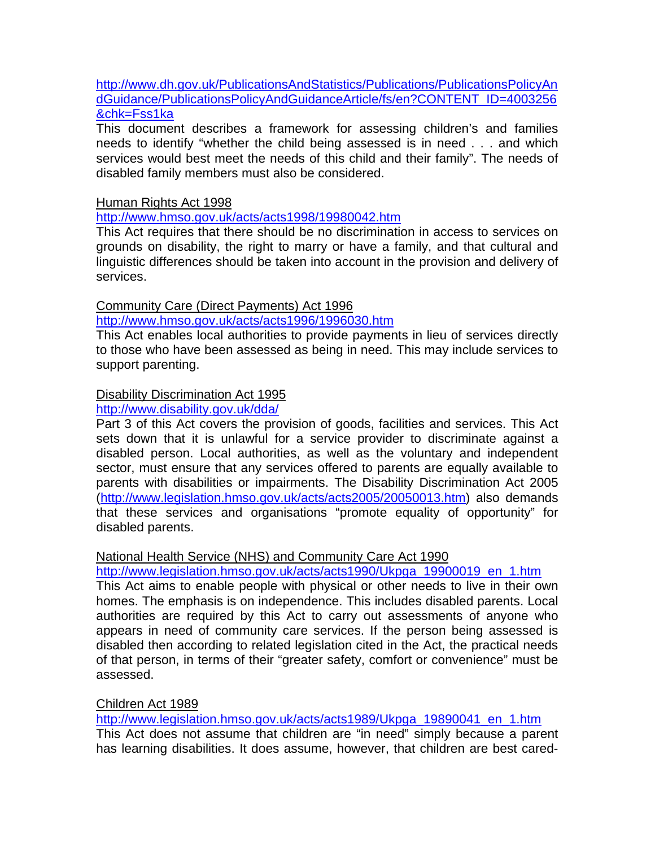http://www.dh.gov.uk/PublicationsAndStatistics/Publications/PublicationsPolicyAn dGuidance/PublicationsPolicyAndGuidanceArticle/fs/en?CONTENT\_ID=4003256 &chk=Fss1ka

This document describes a framework for assessing children's and families needs to identify "whether the child being assessed is in need . . . and which services would best meet the needs of this child and their family". The needs of disabled family members must also be considered.

Human Rights Act 1998

http://www.hmso.gov.uk/acts/acts1998/19980042.htm

This Act requires that there should be no discrimination in access to services on grounds on disability, the right to marry or have a family, and that cultural and linguistic differences should be taken into account in the provision and delivery of services.

#### Community Care (Direct Payments) Act 1996

http://www.hmso.gov.uk/acts/acts1996/1996030.htm

This Act enables local authorities to provide payments in lieu of services directly to those who have been assessed as being in need. This may include services to support parenting.

#### Disability Discrimination Act 1995

#### http://www.disability.gov.uk/dda/

Part 3 of this Act covers the provision of goods, facilities and services. This Act sets down that it is unlawful for a service provider to discriminate against a disabled person. Local authorities, as well as the voluntary and independent sector, must ensure that any services offered to parents are equally available to parents with disabilities or impairments. The Disability Discrimination Act 2005 (http://www.legislation.hmso.gov.uk/acts/acts2005/20050013.htm) also demands that these services and organisations "promote equality of opportunity" for disabled parents.

#### National Health Service (NHS) and Community Care Act 1990

http://www.legislation.hmso.gov.uk/acts/acts1990/Ukpga\_19900019\_en\_1.htm

This Act aims to enable people with physical or other needs to live in their own homes. The emphasis is on independence. This includes disabled parents. Local authorities are required by this Act to carry out assessments of anyone who appears in need of community care services. If the person being assessed is disabled then according to related legislation cited in the Act, the practical needs of that person, in terms of their "greater safety, comfort or convenience" must be assessed.

#### Children Act 1989

http://www.legislation.hmso.gov.uk/acts/acts1989/Ukpga\_19890041\_en\_1.htm This Act does not assume that children are "in need" simply because a parent has learning disabilities. It does assume, however, that children are best cared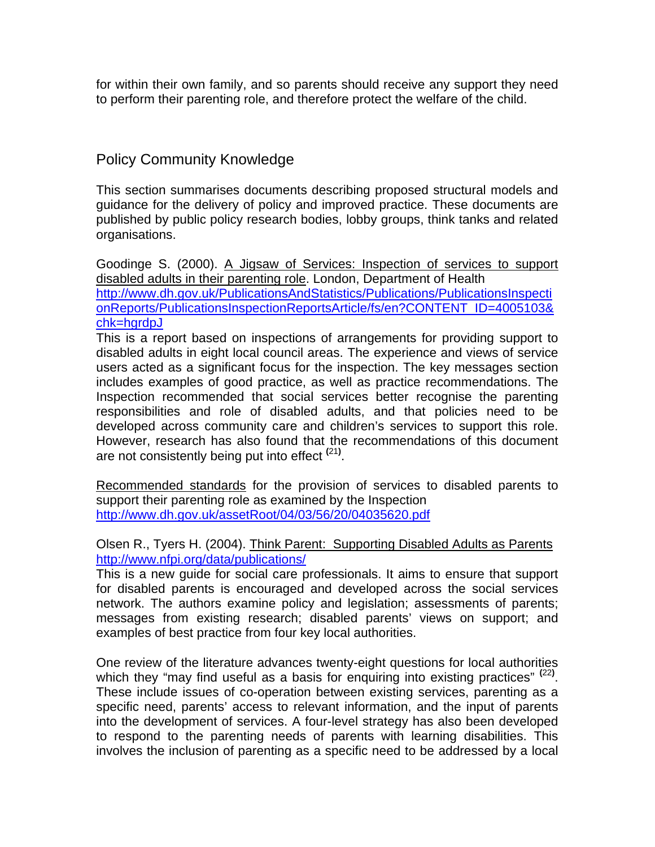for within their own family, and so parents should receive any support they need to perform their parenting role, and therefore protect the welfare of the child.

## Policy Community Knowledge

This section summarises documents describing proposed structural models and guidance for the delivery of policy and improved practice. These documents are published by public policy research bodies, lobby groups, think tanks and related organisations.

Goodinge S. (2000). A Jigsaw of Services: Inspection of services to support disabled adults in their parenting role. London, Department of Health http://www.dh.gov.uk/PublicationsAndStatistics/Publications/PublicationsInspecti onReports/PublicationsInspectionReportsArticle/fs/en?CONTENT\_ID=4005103& chk=hgrdpJ

This is a report based on inspections of arrangements for providing support to disabled adults in eight local council areas. The experience and views of service users acted as a significant focus for the inspection. The key messages section includes examples of good practice, as well as practice recommendations. The Inspection recommended that social services better recognise the parenting responsibilities and role of disabled adults, and that policies need to be developed across community care and children's services to support this role. However, research has also found that the recommendations of this document are not consistently being put into effect **(**21**)** .

Recommended standards for the provision of services to disabled parents to support their parenting role as examined by the Inspection http://www.dh.gov.uk/assetRoot/04/03/56/20/04035620.pdf

#### Olsen R., Tyers H. (2004). Think Parent: Supporting Disabled Adults as Parents http://www.nfpi.org/data/publications/

This is a new guide for social care professionals. It aims to ensure that support for disabled parents is encouraged and developed across the social services network. The authors examine policy and legislation; assessments of parents; messages from existing research; disabled parents' views on support; and examples of best practice from four key local authorities.

One review of the literature advances twenty-eight questions for local authorities which they "may find useful as a basis for enquiring into existing practices" <sup>(22)</sup>. These include issues of co-operation between existing services, parenting as a specific need, parents' access to relevant information, and the input of parents into the development of services. A four-level strategy has also been developed to respond to the parenting needs of parents with learning disabilities. This involves the inclusion of parenting as a specific need to be addressed by a local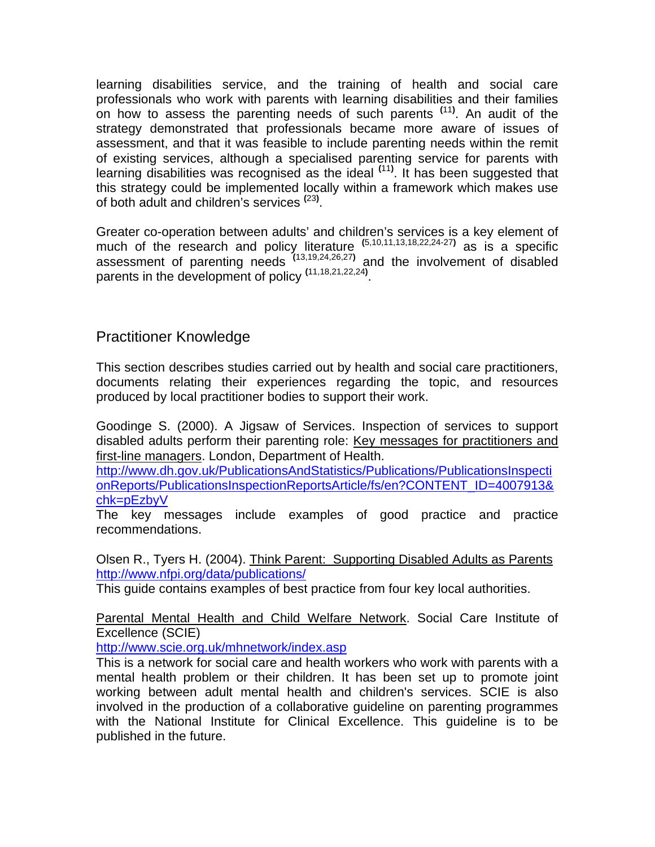learning disabilities service, and the training of health and social care professionals who work with parents with learning disabilities and their families on how to assess the parenting needs of such parents **(**11**)** . An audit of the strategy demonstrated that professionals became more aware of issues of assessment, and that it was feasible to include parenting needs within the remit of existing services, although a specialised parenting service for parents with learning disabilities was recognised as the ideal **(**11**)** . It has been suggested that this strategy could be implemented locally within a framework which makes use of both adult and children's services **(**23**)** .

Greater co-operation between adults' and children's services is a key element of much of the research and policy literature **(**5,10,11,13,18,22,24-27**)** as is a specific assessment of parenting needs **(**13,19,24,26,27**)** and the involvement of disabled parents in the development of policy **(**11,18,21,22,24**)** .

# Practitioner Knowledge

This section describes studies carried out by health and social care practitioners, documents relating their experiences regarding the topic, and resources produced by local practitioner bodies to support their work.

Goodinge S. (2000). A Jigsaw of Services. Inspection of services to support disabled adults perform their parenting role: Key messages for practitioners and first-line managers. London, Department of Health.

http://www.dh.gov.uk/PublicationsAndStatistics/Publications/PublicationsInspecti onReports/PublicationsInspectionReportsArticle/fs/en?CONTENT\_ID=4007913& chk=pEzbyV

The key messages include examples of good practice and practice recommendations.

Olsen R., Tyers H. (2004). Think Parent: Supporting Disabled Adults as Parents http://www.nfpi.org/data/publications/

This guide contains examples of best practice from four key local authorities.

Parental Mental Health and Child Welfare Network. Social Care Institute of Excellence (SCIE)

http://www.scie.org.uk/mhnetwork/index.asp

This is a network for social care and health workers who work with parents with a mental health problem or their children. It has been set up to promote joint working between adult mental health and children's services. SCIE is also involved in the production of a collaborative guideline on parenting programmes with the National Institute for Clinical Excellence. This guideline is to be published in the future.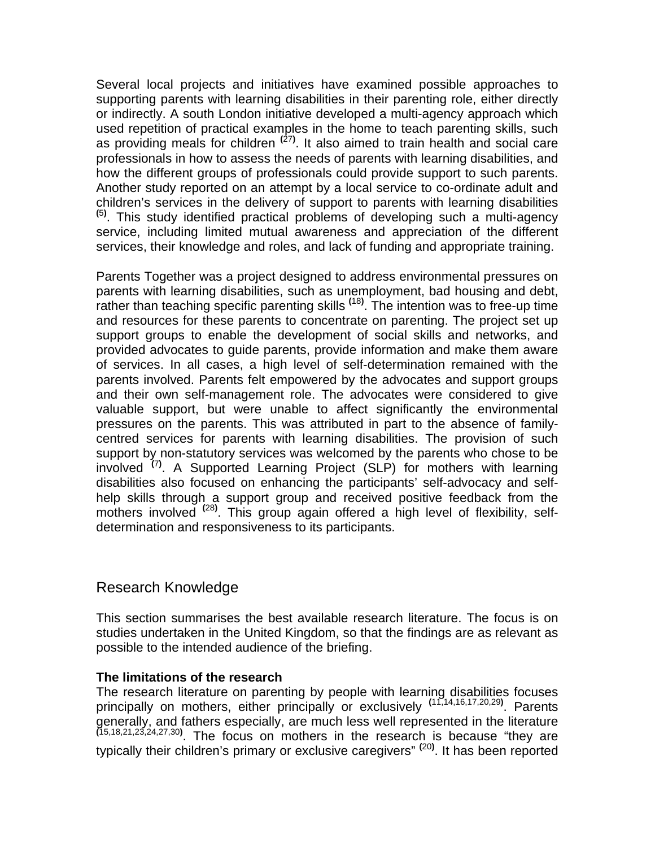Several local projects and initiatives have examined possible approaches to supporting parents with learning disabilities in their parenting role, either directly or indirectly. A south London initiative developed a multi-agency approach which used repetition of practical examples in the home to teach parenting skills, such as providing meals for children **(**27**)** . It also aimed to train health and social care professionals in how to assess the needs of parents with learning disabilities, and how the different groups of professionals could provide support to such parents. Another study reported on an attempt by a local service to co-ordinate adult and children's services in the delivery of support to parents with learning disabilities **(**5**)**  $<sup>(5)</sup>$ . This study identified practical problems of developing such a multi-agency</sup> service, including limited mutual awareness and appreciation of the different services, their knowledge and roles, and lack of funding and appropriate training.

Parents Together was a project designed to address environmental pressures on parents with learning disabilities, such as unemployment, bad housing and debt, rather than teaching specific parenting skills **(**18**)** . The intention was to free-up time and resources for these parents to concentrate on parenting. The project set up support groups to enable the development of social skills and networks, and provided advocates to guide parents, provide information and make them aware of services. In all cases, a high level of self-determination remained with the parents involved. Parents felt empowered by the advocates and support groups and their own self-management role. The advocates were considered to give valuable support, but were unable to affect significantly the environmental pressures on the parents. This was attributed in part to the absence of familycentred services for parents with learning disabilities. The provision of such support by non-statutory services was welcomed by the parents who chose to be involved **(**7**)** . A Supported Learning Project (SLP) for mothers with learning disabilities also focused on enhancing the participants' self-advocacy and selfhelp skills through a support group and received positive feedback from the mothers involved **(**28**)** . This group again offered a high level of flexibility, selfdetermination and responsiveness to its participants.

# Research Knowledge

This section summarises the best available research literature. The focus is on studies undertaken in the United Kingdom, so that the findings are as relevant as possible to the intended audience of the briefing.

#### **The limitations of the research**

The research literature on parenting by people with learning disabilities focuses principally on mothers, either principally or exclusively **(**11,14,16,17,20,29**)** . Parents generally, and fathers especially, are much less well represented in the literature **(**15,18,21,23,24,27,30**)** . The focus on mothers in the research is because "they are typically their children's primary or exclusive caregivers" **(**20**)** . It has been reported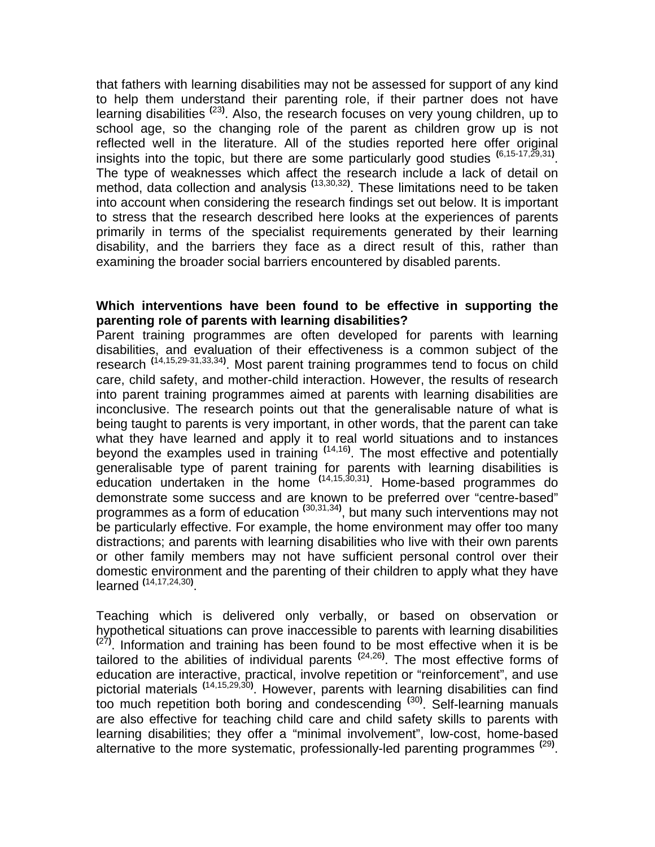that fathers with learning disabilities may not be assessed for support of any kind to help them understand their parenting role, if their partner does not have learning disabilities **(**23**)** . Also, the research focuses on very young children, up to school age, so the changing role of the parent as children grow up is not reflected well in the literature. All of the studies reported here offer original insights into the topic, but there are some particularly good studies **(**6,15-17,29,31**)** . The type of weaknesses which affect the research include a lack of detail on method, data collection and analysis **(**13,30,32**)** . These limitations need to be taken into account when considering the research findings set out below. It is important to stress that the research described here looks at the experiences of parents primarily in terms of the specialist requirements generated by their learning disability, and the barriers they face as a direct result of this, rather than examining the broader social barriers encountered by disabled parents.

#### **Which interventions have been found to be effective in supporting the parenting role of parents with learning disabilities?**

Parent training programmes are often developed for parents with learning disabilities, and evaluation of their effectiveness is a common subject of the research **(**14,15,29-31,33,34**)** . Most parent training programmes tend to focus on child care, child safety, and mother-child interaction. However, the results of research into parent training programmes aimed at parents with learning disabilities are inconclusive. The research points out that the generalisable nature of what is being taught to parents is very important, in other words, that the parent can take what they have learned and apply it to real world situations and to instances beyond the examples used in training **(**14,16**)** . The most effective and potentially generalisable type of parent training for parents with learning disabilities is education undertaken in the home **(**14,15,30,31**)** . Home-based programmes do demonstrate some success and are known to be preferred over "centre-based" programmes as a form of education **(**30,31,34**)** , but many such interventions may not be particularly effective. For example, the home environment may offer too many distractions; and parents with learning disabilities who live with their own parents or other family members may not have sufficient personal control over their domestic environment and the parenting of their children to apply what they have learned **(**14,17,24,30**)** .

Teaching which is delivered only verbally, or based on observation or hypothetical situations can prove inaccessible to parents with learning disabilities **(**27**)**  $(27)$ . Information and training has been found to be most effective when it is be tailored to the abilities of individual parents **(**24,26**)** . The most effective forms of education are interactive, practical, involve repetition or "reinforcement", and use pictorial materials **(**14,15,29,30**)** . However, parents with learning disabilities can find too much repetition both boring and condescending **(**30**)** . Self-learning manuals are also effective for teaching child care and child safety skills to parents with learning disabilities; they offer a "minimal involvement", low-cost, home-based alternative to the more systematic, professionally-led parenting programmes **(**29**)** .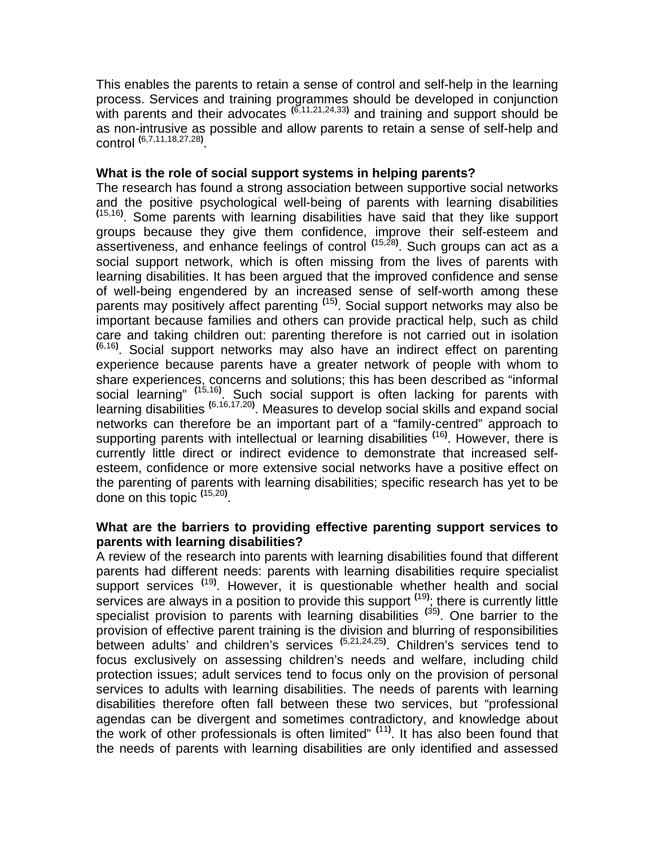This enables the parents to retain a sense of control and self-help in the learning process. Services and training programmes should be developed in conjunction with parents and their advocates **(**6,11,21,24,33**)** and training and support should be as non-intrusive as possible and allow parents to retain a sense of self-help and control **(**6,7,11,18,27,28**)** .

#### **What is the role of social support systems in helping parents?**

The research has found a strong association between supportive social networks and the positive psychological well-being of parents with learning disabilities  $(15,16)$ . Some parents with learning disabilities have said that they like support groups because they give them confidence, improve their self-esteem and assertiveness, and enhance feelings of control **(**15,28**)** . Such groups can act as a social support network, which is often missing from the lives of parents with learning disabilities. It has been argued that the improved confidence and sense of well-being engendered by an increased sense of self-worth among these parents may positively affect parenting **(**15**)** . Social support networks may also be important because families and others can provide practical help, such as child care and taking children out: parenting therefore is not carried out in isolation **(**6,16**)** . Social support networks may also have an indirect effect on parenting experience because parents have a greater network of people with whom to share experiences, concerns and solutions; this has been described as "informal social learning" **(**15,16**)** . Such social support is often lacking for parents with learning disabilities **(**6,16,17,20**)** . Measures to develop social skills and expand social networks can therefore be an important part of a "family-centred" approach to supporting parents with intellectual or learning disabilities **(**16**)** . However, there is currently little direct or indirect evidence to demonstrate that increased selfesteem, confidence or more extensive social networks have a positive effect on the parenting of parents with learning disabilities; specific research has yet to be done on this topic **(**15,20**)** .

#### **What are the barriers to providing effective parenting support services to parents with learning disabilities?**

A review of the research into parents with learning disabilities found that different parents had different needs: parents with learning disabilities require specialist support services **(**19**)** . However, it is questionable whether health and social services are always in a position to provide this support **(**19**)** ; there is currently little specialist provision to parents with learning disabilities **(**35**)** . One barrier to the provision of effective parent training is the division and blurring of responsibilities between adults' and children's services **(**5,21,24,25**)** . Children's services tend to focus exclusively on assessing children's needs and welfare, including child protection issues; adult services tend to focus only on the provision of personal services to adults with learning disabilities. The needs of parents with learning disabilities therefore often fall between these two services, but "professional agendas can be divergent and sometimes contradictory, and knowledge about the work of other professionals is often limited" **(**11**)** . It has also been found that the needs of parents with learning disabilities are only identified and assessed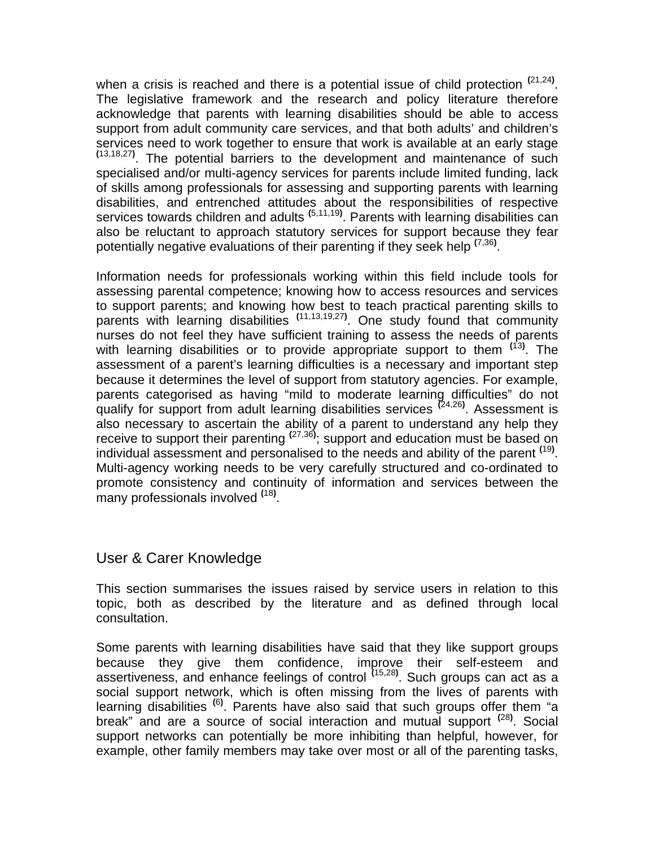when a crisis is reached and there is a potential issue of child protection **(**21,24**)** . The legislative framework and the research and policy literature therefore acknowledge that parents with learning disabilities should be able to access support from adult community care services, and that both adults' and children's services need to work together to ensure that work is available at an early stage **(**13,18,27**)**  $(13, 18, 27)$ . The potential barriers to the development and maintenance of such specialised and/or multi-agency services for parents include limited funding, lack of skills among professionals for assessing and supporting parents with learning disabilities, and entrenched attitudes about the responsibilities of respective services towards children and adults **(**5,11,19**)** . Parents with learning disabilities can also be reluctant to approach statutory services for support because they fear potentially negative evaluations of their parenting if they seek help **(**7,36**)** .

Information needs for professionals working within this field include tools for assessing parental competence; knowing how to access resources and services to support parents; and knowing how best to teach practical parenting skills to parents with learning disabilities **(**11,13,19,27**)** . One study found that community nurses do not feel they have sufficient training to assess the needs of parents with learning disabilities or to provide appropriate support to them **(**13**)** . The assessment of a parent's learning difficulties is a necessary and important step because it determines the level of support from statutory agencies. For example, parents categorised as having "mild to moderate learning difficulties" do not qualify for support from adult learning disabilities services **(**24,26**)** . Assessment is also necessary to ascertain the ability of a parent to understand any help they receive to support their parenting **(**27,36**)** ; support and education must be based on individual assessment and personalised to the needs and ability of the parent **(**19**)** . Multi-agency working needs to be very carefully structured and co-ordinated to promote consistency and continuity of information and services between the many professionals involved **(**18**)** .

# User & Carer Knowledge

This section summarises the issues raised by service users in relation to this topic, both as described by the literature and as defined through local consultation.

Some parents with learning disabilities have said that they like support groups because they give them confidence, improve their self-esteem and assertiveness, and enhance feelings of control **(**15,28**)** . Such groups can act as a social support network, which is often missing from the lives of parents with learning disabilities <sup>(6)</sup>. Parents have also said that such groups offer them "a break" and are a source of social interaction and mutual support **(**28**)** . Social support networks can potentially be more inhibiting than helpful, however, for example, other family members may take over most or all of the parenting tasks,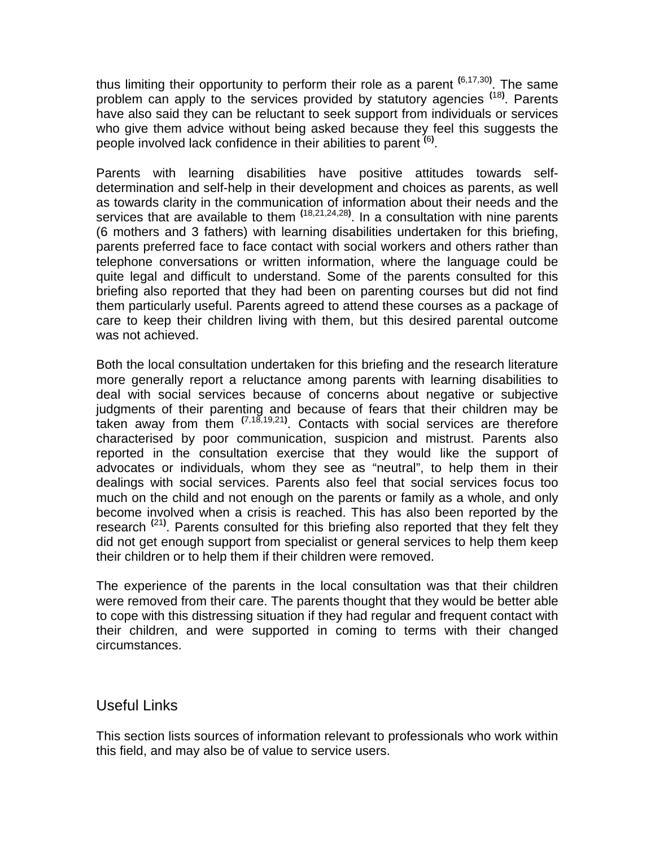thus limiting their opportunity to perform their role as a parent **(**6,17,30**)** . The same problem can apply to the services provided by statutory agencies **(**18**)** . Parents have also said they can be reluctant to seek support from individuals or services who give them advice without being asked because they feel this suggests the people involved lack confidence in their abilities to parent **(**6**)** .

Parents with learning disabilities have positive attitudes towards selfdetermination and self-help in their development and choices as parents, as well as towards clarity in the communication of information about their needs and the services that are available to them **(**18,21,24,28**)** . In a consultation with nine parents (6 mothers and 3 fathers) with learning disabilities undertaken for this briefing, parents preferred face to face contact with social workers and others rather than telephone conversations or written information, where the language could be quite legal and difficult to understand. Some of the parents consulted for this briefing also reported that they had been on parenting courses but did not find them particularly useful. Parents agreed to attend these courses as a package of care to keep their children living with them, but this desired parental outcome was not achieved.

Both the local consultation undertaken for this briefing and the research literature more generally report a reluctance among parents with learning disabilities to deal with social services because of concerns about negative or subjective judgments of their parenting and because of fears that their children may be taken away from them **(**7,18,19,21**)** . Contacts with social services are therefore characterised by poor communication, suspicion and mistrust. Parents also reported in the consultation exercise that they would like the support of advocates or individuals, whom they see as "neutral", to help them in their dealings with social services. Parents also feel that social services focus too much on the child and not enough on the parents or family as a whole, and only become involved when a crisis is reached. This has also been reported by the research<sup>(21)</sup>. Parents consulted for this briefing also reported that they felt they did not get enough support from specialist or general services to help them keep their children or to help them if their children were removed.

The experience of the parents in the local consultation was that their children were removed from their care. The parents thought that they would be better able to cope with this distressing situation if they had regular and frequent contact with their children, and were supported in coming to terms with their changed circumstances.

# Useful Links

This section lists sources of information relevant to professionals who work within this field, and may also be of value to service users.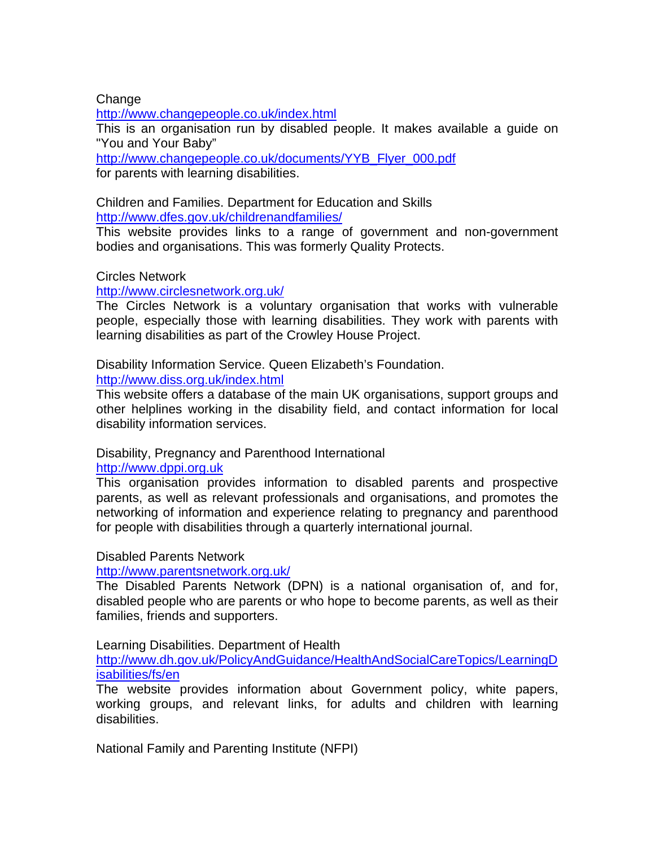#### **Change**

http://www.changepeople.co.uk/index.html

This is an organisation run by disabled people. It makes available a guide on "You and Your Baby"

http://www.changepeople.co.uk/documents/YYB\_Flyer\_000.pdf for parents with learning disabilities.

Children and Families. Department for Education and Skills http://www.dfes.gov.uk/childrenandfamilies/

This website provides links to a range of government and non-government bodies and organisations. This was formerly Quality Protects.

#### Circles Network

http://www.circlesnetwork.org.uk/

The Circles Network is a voluntary organisation that works with vulnerable people, especially those with learning disabilities. They work with parents with learning disabilities as part of the Crowley House Project.

Disability Information Service. Queen Elizabeth's Foundation.

http://www.diss.org.uk/index.html

This website offers a database of the main UK organisations, support groups and other helplines working in the disability field, and contact information for local disability information services.

#### Disability, Pregnancy and Parenthood International http://www.dppi.org.uk

This organisation provides information to disabled parents and prospective parents, as well as relevant professionals and organisations, and promotes the networking of information and experience relating to pregnancy and parenthood for people with disabilities through a quarterly international journal.

#### Disabled Parents Network

#### http://www.parentsnetwork.org.uk/

The Disabled Parents Network (DPN) is a national organisation of, and for, disabled people who are parents or who hope to become parents, as well as their families, friends and supporters.

#### Learning Disabilities. Department of Health

http://www.dh.gov.uk/PolicyAndGuidance/HealthAndSocialCareTopics/LearningD isabilities/fs/en

The website provides information about Government policy, white papers, working groups, and relevant links, for adults and children with learning disabilities.

National Family and Parenting Institute (NFPI)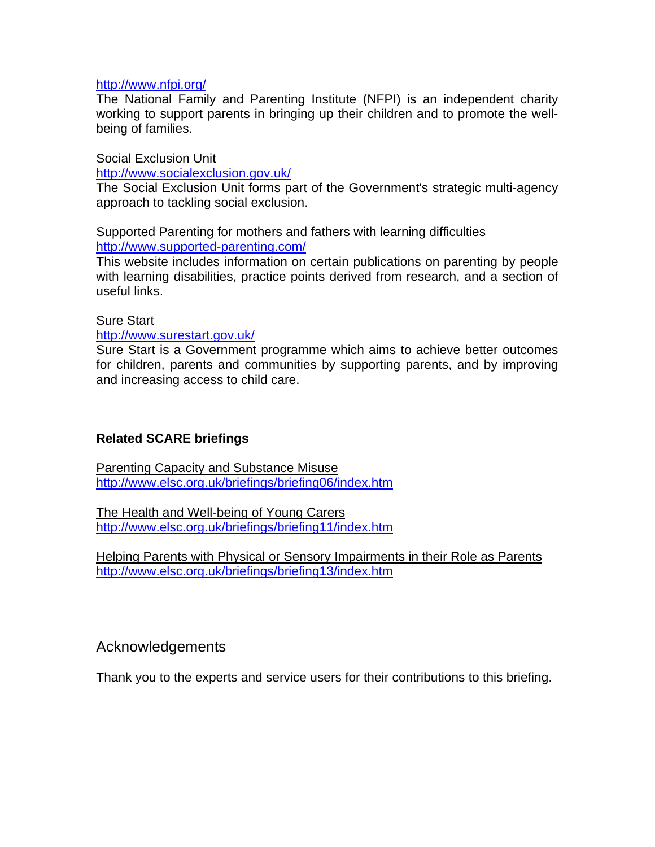#### http://www.nfpi.org/

The National Family and Parenting Institute (NFPI) is an independent charity working to support parents in bringing up their children and to promote the wellbeing of families.

Social Exclusion Unit

http://www.socialexclusion.gov.uk/

The Social Exclusion Unit forms part of the Government's strategic multi-agency approach to tackling social exclusion.

Supported Parenting for mothers and fathers with learning difficulties http://www.supported-parenting.com/

This website includes information on certain publications on parenting by people with learning disabilities, practice points derived from research, and a section of useful links.

Sure Start

#### http://www.surestart.gov.uk/

Sure Start is a Government programme which aims to achieve better outcomes for children, parents and communities by supporting parents, and by improving and increasing access to child care.

#### **Related SCARE briefings**

Parenting Capacity and Substance Misuse http://www.elsc.org.uk/briefings/briefing06/index.htm

The Health and Well-being of Young Carers http://www.elsc.org.uk/briefings/briefing11/index.htm

Helping Parents with Physical or Sensory Impairments in their Role as Parents http://www.elsc.org.uk/briefings/briefing13/index.htm

### Acknowledgements

Thank you to the experts and service users for their contributions to this briefing.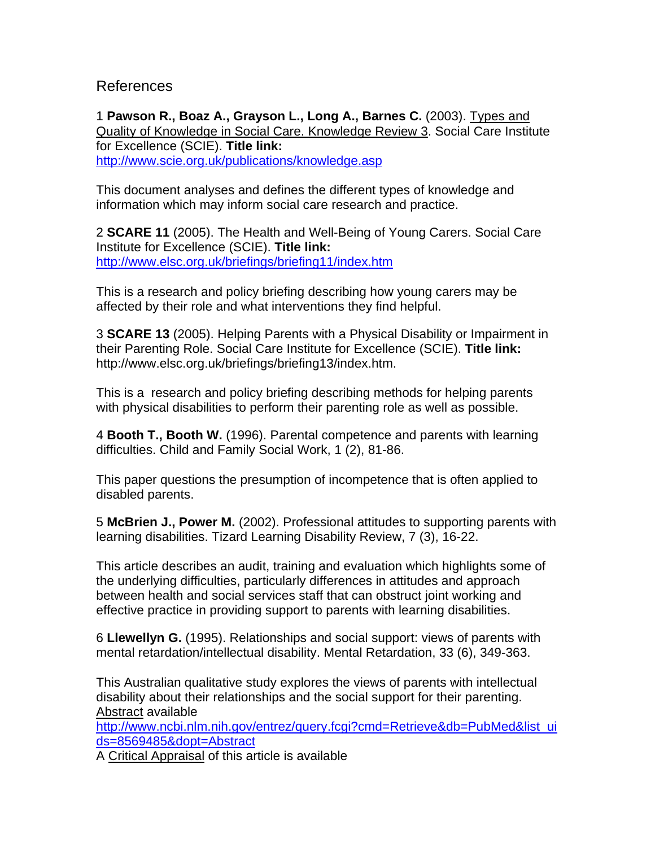### References

1 **Pawson R., Boaz A., Grayson L., Long A., Barnes C.** (2003). Types and Quality of Knowledge in Social Care. Knowledge Review 3. Social Care Institute for Excellence (SCIE). **Title link:** http://www.scie.org.uk/publications/knowledge.asp

This document analyses and defines the different types of knowledge and information which may inform social care research and practice.

2 **SCARE 11** (2005). The Health and Well-Being of Young Carers. Social Care Institute for Excellence (SCIE). **Title link:** http://www.elsc.org.uk/briefings/briefing11/index.htm

This is a research and policy briefing describing how young carers may be affected by their role and what interventions they find helpful.

3 **SCARE 13** (2005). Helping Parents with a Physical Disability or Impairment in their Parenting Role. Social Care Institute for Excellence (SCIE). **Title link:** http://www.elsc.org.uk/briefings/briefing13/index.htm.

This is a research and policy briefing describing methods for helping parents with physical disabilities to perform their parenting role as well as possible.

4 **Booth T., Booth W.** (1996). Parental competence and parents with learning difficulties. Child and Family Social Work, 1 (2), 81-86.

This paper questions the presumption of incompetence that is often applied to disabled parents.

5 **McBrien J., Power M.** (2002). Professional attitudes to supporting parents with learning disabilities. Tizard Learning Disability Review, 7 (3), 16-22.

This article describes an audit, training and evaluation which highlights some of the underlying difficulties, particularly differences in attitudes and approach between health and social services staff that can obstruct joint working and effective practice in providing support to parents with learning disabilities.

6 **Llewellyn G.** (1995). Relationships and social support: views of parents with mental retardation/intellectual disability. Mental Retardation, 33 (6), 349-363.

This Australian qualitative study explores the views of parents with intellectual disability about their relationships and the social support for their parenting. Abstract available

http://www.ncbi.nlm.nih.gov/entrez/query.fcgi?cmd=Retrieve&db=PubMed&list\_ui ds=8569485&dopt=Abstract

A Critical Appraisal of this article is available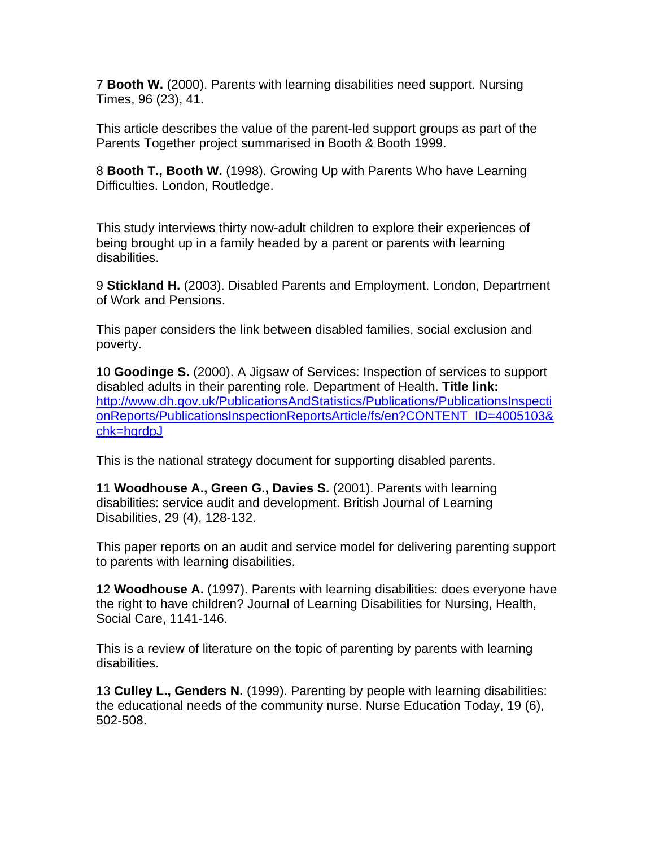7 **Booth W.** (2000). Parents with learning disabilities need support. Nursing Times, 96 (23), 41.

This article describes the value of the parent-led support groups as part of the Parents Together project summarised in Booth & Booth 1999.

8 **Booth T., Booth W.** (1998). Growing Up with Parents Who have Learning Difficulties. London, Routledge.

This study interviews thirty now-adult children to explore their experiences of being brought up in a family headed by a parent or parents with learning disabilities.

9 **Stickland H.** (2003). Disabled Parents and Employment. London, Department of Work and Pensions.

This paper considers the link between disabled families, social exclusion and poverty.

10 **Goodinge S.** (2000). A Jigsaw of Services: Inspection of services to support disabled adults in their parenting role. Department of Health. **Title link:** http://www.dh.gov.uk/PublicationsAndStatistics/Publications/PublicationsInspecti onReports/PublicationsInspectionReportsArticle/fs/en?CONTENT\_ID=4005103& chk=hgrdpJ

This is the national strategy document for supporting disabled parents.

11 **Woodhouse A., Green G., Davies S.** (2001). Parents with learning disabilities: service audit and development. British Journal of Learning Disabilities, 29 (4), 128-132.

This paper reports on an audit and service model for delivering parenting support to parents with learning disabilities.

12 **Woodhouse A.** (1997). Parents with learning disabilities: does everyone have the right to have children? Journal of Learning Disabilities for Nursing, Health, Social Care, 1141-146.

This is a review of literature on the topic of parenting by parents with learning disabilities.

13 **Culley L., Genders N.** (1999). Parenting by people with learning disabilities: the educational needs of the community nurse. Nurse Education Today, 19 (6), 502-508.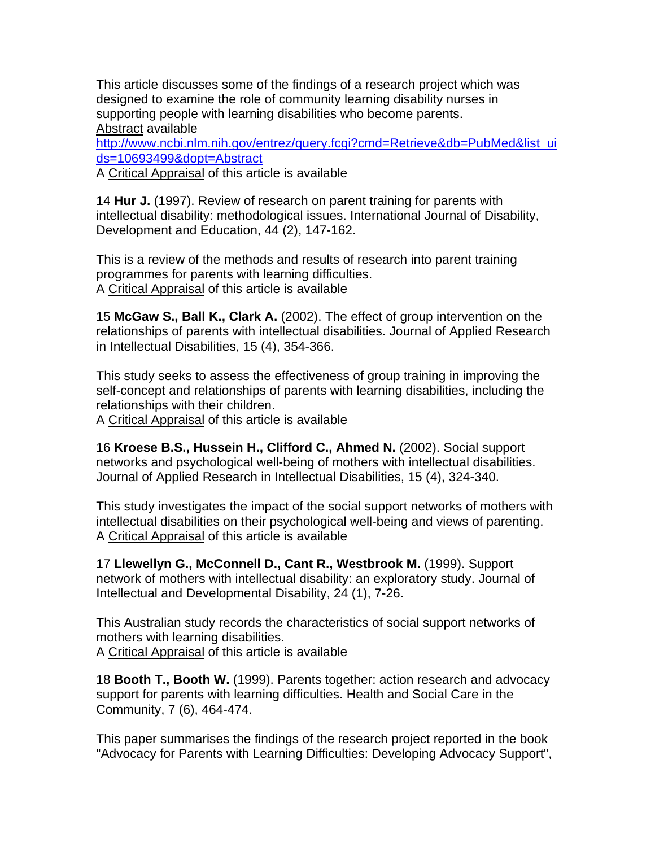This article discusses some of the findings of a research project which was designed to examine the role of community learning disability nurses in supporting people with learning disabilities who become parents. Abstract available http://www.ncbi.nlm.nih.gov/entrez/query.fcgi?cmd=Retrieve&db=PubMed&list\_ui ds=10693499&dopt=Abstract

A Critical Appraisal of this article is available

14 **Hur J.** (1997). Review of research on parent training for parents with intellectual disability: methodological issues. International Journal of Disability, Development and Education, 44 (2), 147-162.

This is a review of the methods and results of research into parent training programmes for parents with learning difficulties. A Critical Appraisal of this article is available

15 **McGaw S., Ball K., Clark A.** (2002). The effect of group intervention on the relationships of parents with intellectual disabilities. Journal of Applied Research in Intellectual Disabilities, 15 (4), 354-366.

This study seeks to assess the effectiveness of group training in improving the self-concept and relationships of parents with learning disabilities, including the relationships with their children.

A Critical Appraisal of this article is available

16 **Kroese B.S., Hussein H., Clifford C., Ahmed N.** (2002). Social support networks and psychological well-being of mothers with intellectual disabilities. Journal of Applied Research in Intellectual Disabilities, 15 (4), 324-340.

This study investigates the impact of the social support networks of mothers with intellectual disabilities on their psychological well-being and views of parenting. A Critical Appraisal of this article is available

17 **Llewellyn G., McConnell D., Cant R., Westbrook M.** (1999). Support network of mothers with intellectual disability: an exploratory study. Journal of Intellectual and Developmental Disability, 24 (1), 7-26.

This Australian study records the characteristics of social support networks of mothers with learning disabilities.

A Critical Appraisal of this article is available

18 **Booth T., Booth W.** (1999). Parents together: action research and advocacy support for parents with learning difficulties. Health and Social Care in the Community, 7 (6), 464-474.

This paper summarises the findings of the research project reported in the book "Advocacy for Parents with Learning Difficulties: Developing Advocacy Support",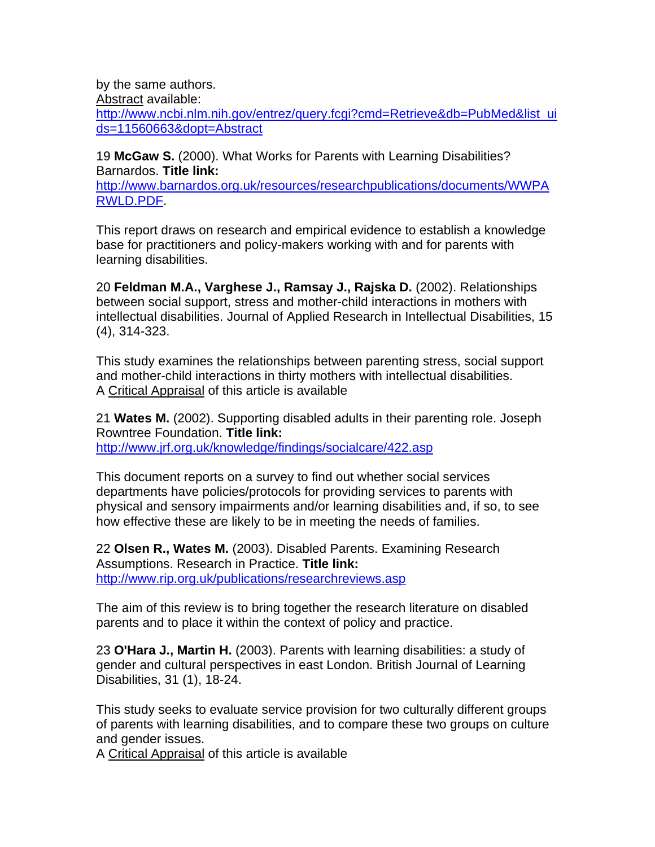by the same authors.

Abstract available:

http://www.ncbi.nlm.nih.gov/entrez/query.fcgi?cmd=Retrieve&db=PubMed&list\_ui ds=11560663&dopt=Abstract

19 **McGaw S.** (2000). What Works for Parents with Learning Disabilities? Barnardos. **Title link:**

http://www.barnardos.org.uk/resources/researchpublications/documents/WWPA RWLD.PDF.

This report draws on research and empirical evidence to establish a knowledge base for practitioners and policy-makers working with and for parents with learning disabilities.

20 **Feldman M.A., Varghese J., Ramsay J., Rajska D.** (2002). Relationships between social support, stress and mother-child interactions in mothers with intellectual disabilities. Journal of Applied Research in Intellectual Disabilities, 15 (4), 314-323.

This study examines the relationships between parenting stress, social support and mother-child interactions in thirty mothers with intellectual disabilities. A Critical Appraisal of this article is available

21 **Wates M.** (2002). Supporting disabled adults in their parenting role. Joseph Rowntree Foundation. **Title link:** http://www.jrf.org.uk/knowledge/findings/socialcare/422.asp

This document reports on a survey to find out whether social services departments have policies/protocols for providing services to parents with physical and sensory impairments and/or learning disabilities and, if so, to see how effective these are likely to be in meeting the needs of families.

22 **Olsen R., Wates M.** (2003). Disabled Parents. Examining Research Assumptions. Research in Practice. **Title link:** http://www.rip.org.uk/publications/researchreviews.asp

The aim of this review is to bring together the research literature on disabled parents and to place it within the context of policy and practice.

23 **O'Hara J., Martin H.** (2003). Parents with learning disabilities: a study of gender and cultural perspectives in east London. British Journal of Learning Disabilities, 31 (1), 18-24.

This study seeks to evaluate service provision for two culturally different groups of parents with learning disabilities, and to compare these two groups on culture and gender issues.

A Critical Appraisal of this article is available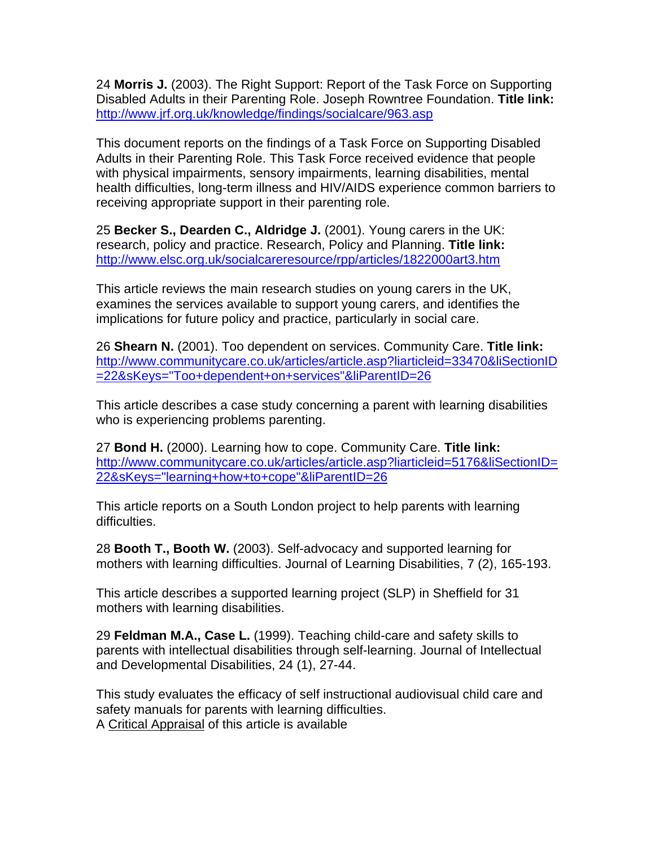24 **Morris J.** (2003). The Right Support: Report of the Task Force on Supporting Disabled Adults in their Parenting Role. Joseph Rowntree Foundation. **Title link:** http://www.jrf.org.uk/knowledge/findings/socialcare/963.asp

This document reports on the findings of a Task Force on Supporting Disabled Adults in their Parenting Role. This Task Force received evidence that people with physical impairments, sensory impairments, learning disabilities, mental health difficulties, long-term illness and HIV/AIDS experience common barriers to receiving appropriate support in their parenting role.

25 **Becker S., Dearden C., Aldridge J.** (2001). Young carers in the UK: research, policy and practice. Research, Policy and Planning. **Title link:** http://www.elsc.org.uk/socialcareresource/rpp/articles/1822000art3.htm

This article reviews the main research studies on young carers in the UK, examines the services available to support young carers, and identifies the implications for future policy and practice, particularly in social care.

26 **Shearn N.** (2001). Too dependent on services. Community Care. **Title link:** http://www.communitycare.co.uk/articles/article.asp?liarticleid=33470&liSectionID =22&sKeys="Too+dependent+on+services"&liParentID=26

This article describes a case study concerning a parent with learning disabilities who is experiencing problems parenting.

27 **Bond H.** (2000). Learning how to cope. Community Care. **Title link:** http://www.communitycare.co.uk/articles/article.asp?liarticleid=5176&liSectionID= 22&sKeys="learning+how+to+cope"&liParentID=26

This article reports on a South London project to help parents with learning difficulties.

28 **Booth T., Booth W.** (2003). Self-advocacy and supported learning for mothers with learning difficulties. Journal of Learning Disabilities, 7 (2), 165-193.

This article describes a supported learning project (SLP) in Sheffield for 31 mothers with learning disabilities.

29 **Feldman M.A., Case L.** (1999). Teaching child-care and safety skills to parents with intellectual disabilities through self-learning. Journal of Intellectual and Developmental Disabilities, 24 (1), 27-44.

This study evaluates the efficacy of self instructional audiovisual child care and safety manuals for parents with learning difficulties. A Critical Appraisal of this article is available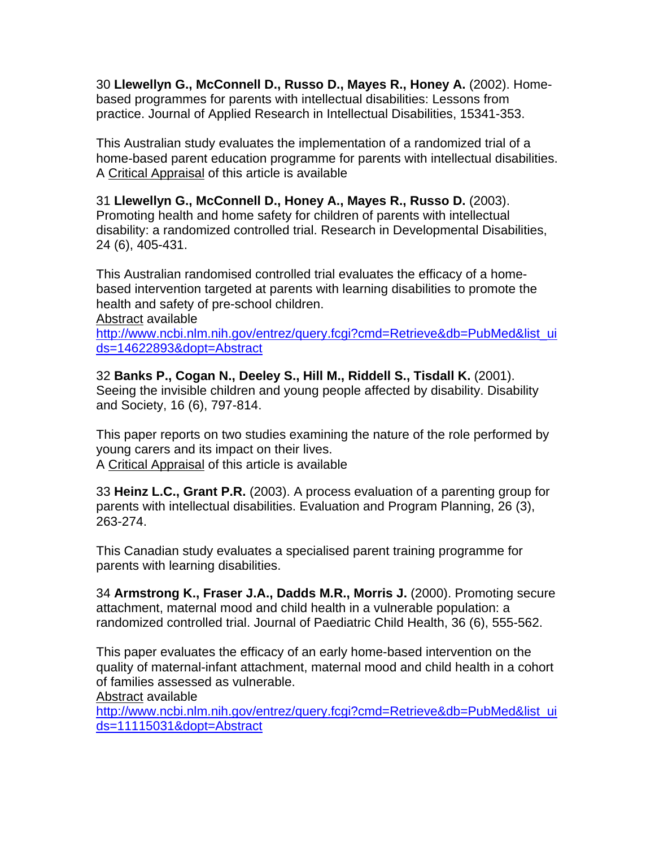30 **Llewellyn G., McConnell D., Russo D., Mayes R., Honey A.** (2002). Homebased programmes for parents with intellectual disabilities: Lessons from practice. Journal of Applied Research in Intellectual Disabilities, 15341-353.

This Australian study evaluates the implementation of a randomized trial of a home-based parent education programme for parents with intellectual disabilities. A Critical Appraisal of this article is available

31 **Llewellyn G., McConnell D., Honey A., Mayes R., Russo D.** (2003). Promoting health and home safety for children of parents with intellectual disability: a randomized controlled trial. Research in Developmental Disabilities, 24 (6), 405-431.

This Australian randomised controlled trial evaluates the efficacy of a homebased intervention targeted at parents with learning disabilities to promote the health and safety of pre-school children.

Abstract available

http://www.ncbi.nlm.nih.gov/entrez/query.fcgi?cmd=Retrieve&db=PubMed&list\_ui ds=14622893&dopt=Abstract

32 **Banks P., Cogan N., Deeley S., Hill M., Riddell S., Tisdall K.** (2001). Seeing the invisible children and young people affected by disability. Disability and Society, 16 (6), 797-814.

This paper reports on two studies examining the nature of the role performed by young carers and its impact on their lives. A Critical Appraisal of this article is available

33 **Heinz L.C., Grant P.R.** (2003). A process evaluation of a parenting group for parents with intellectual disabilities. Evaluation and Program Planning, 26 (3), 263-274.

This Canadian study evaluates a specialised parent training programme for parents with learning disabilities.

34 **Armstrong K., Fraser J.A., Dadds M.R., Morris J.** (2000). Promoting secure attachment, maternal mood and child health in a vulnerable population: a randomized controlled trial. Journal of Paediatric Child Health, 36 (6), 555-562.

This paper evaluates the efficacy of an early home-based intervention on the quality of maternal-infant attachment, maternal mood and child health in a cohort of families assessed as vulnerable.

Abstract available

http://www.ncbi.nlm.nih.gov/entrez/query.fcgi?cmd=Retrieve&db=PubMed&list\_ui ds=11115031&dopt=Abstract